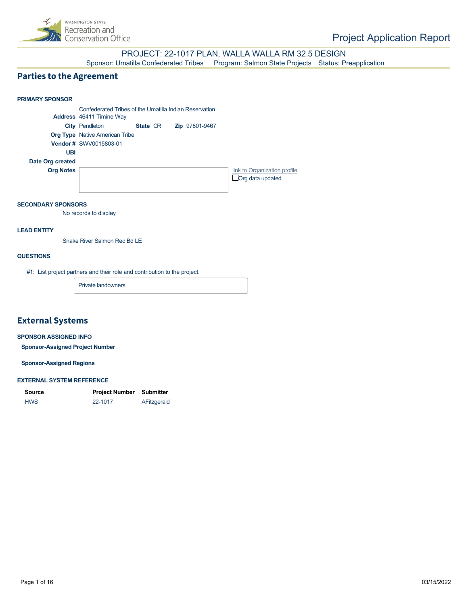

PROJECT: 22-1017 PLAN, WALLA WALLA RM 32.5 DESIGN

Sponsor: Umatilla Confederated Tribes Program: Salmon State Projects Status: Preapplication

## **Parties to the Agreement**



#### **SECONDARY SPONSORS**

No records to display

#### **LEAD ENTITY**

Snake River Salmon Rec Bd LE

#### **QUESTIONS**

#1: List project partners and their role and contribution to the project.

Private landowners

## **External Systems**

#### **SPONSOR ASSIGNED INFO**

**Sponsor-Assigned Project Number**

**Sponsor-Assigned Regions**

#### **EXTERNAL SYSTEM REFERENCE**

| Source     | <b>Project Number Submitter</b> |             |
|------------|---------------------------------|-------------|
| <b>HWS</b> | 22-1017                         | AFitzgerald |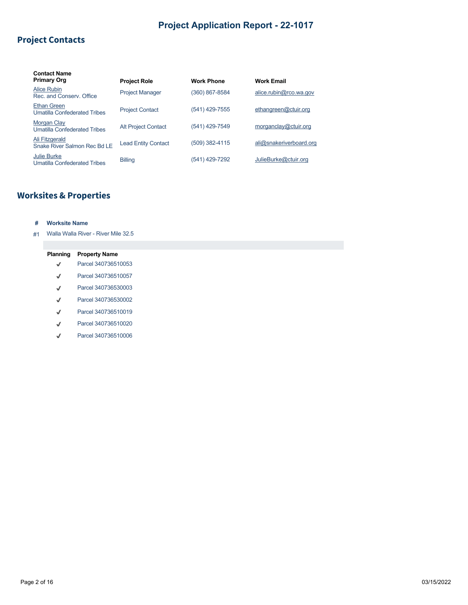## **Project Contacts**

| <b>Contact Name</b>                                       |                            |                   |                         |
|-----------------------------------------------------------|----------------------------|-------------------|-------------------------|
| <b>Primary Org</b>                                        | <b>Project Role</b>        | <b>Work Phone</b> | <b>Work Email</b>       |
| Alice Rubin<br>Rec. and Conserv. Office                   | <b>Project Manager</b>     | (360) 867-8584    | alice.rubin@rco.wa.gov  |
| <b>Ethan Green</b><br><b>Umatilla Confederated Tribes</b> | <b>Project Contact</b>     | (541) 429-7555    | ethangreen@ctuir.org    |
| <b>Morgan Clay</b><br><b>Umatilla Confederated Tribes</b> | <b>Alt Project Contact</b> | (541) 429-7549    | morganclay@ctuir.org    |
| Ali Fitzgerald<br>Snake River Salmon Rec Bd I F           | <b>Lead Entity Contact</b> | (509) 382-4115    | ali@snakeriverboard.org |
| <b>Julie Burke</b><br><b>Umatilla Confederated Tribes</b> | <b>Billing</b>             | (541) 429-7292    | JulieBurke@ctuir.org    |

## **Worksites & Properties**

#### **# Worksite Name**

#1 Walla Walla River - River Mile 32.5

| Planning     | <b>Property Name</b> |
|--------------|----------------------|
| √            | Parcel 340736510053  |
| √            | Parcel 340736510057  |
| √            | Parcel 340736530003  |
| √            | Parcel 340736530002  |
| √            | Parcel 340736510019  |
| $\checkmark$ | Parcel 340736510020  |
| √            | Parcel 340736510006  |
|              |                      |
|              |                      |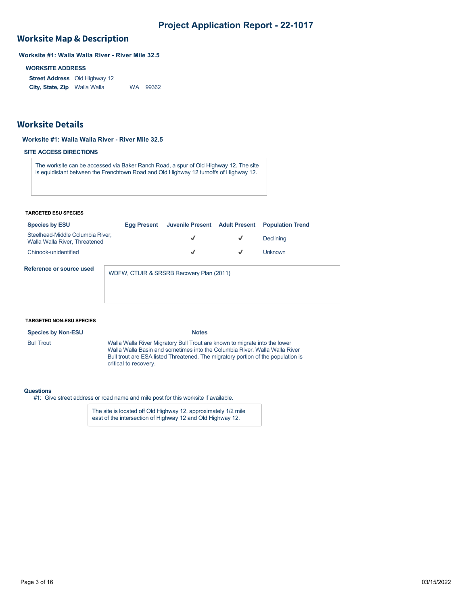## **Worksite Map & Description**

**Worksite #1: Walla Walla River - River Mile 32.5**

#### **WORKSITE ADDRESS**

**Street Address** Old Highway 12 **City, State, Zip** Walla Walla WA 99362

## **Worksite Details**

#### **Worksite #1: Walla Walla River - River Mile 32.5**

#### **SITE ACCESS DIRECTIONS**

The worksite can be accessed via Baker Ranch Road, a spur of Old Highway 12. The site is equidistant between the Frenchtown Road and Old Highway 12 turnoffs of Highway 12.

#### **TARGETED ESU SPECIES**

| <b>Species by ESU</b>                                             | Egg Present                              |   |              | Juvenile Present Adult Present Population Trend |
|-------------------------------------------------------------------|------------------------------------------|---|--------------|-------------------------------------------------|
| Steelhead-Middle Columbia River,<br>Walla Walla River, Threatened |                                          | √ | $\checkmark$ | Declining                                       |
| Chinook-unidentified                                              |                                          | √ | √            | l Inknown.                                      |
| Reference or source used                                          | WDFW, CTUIR & SRSRB Recovery Plan (2011) |   |              |                                                 |

#### **TARGETED NON-ESU SPECIES**

**Species by Non-ESU Notes** 

Bull Trout Walla Walla River Migratory Bull Trout are known to migrate into the lower Walla Walla Basin and sometimes into the Columbia River. Walla Walla River Bull trout are ESA listed Threatened. The migratory portion of the population is critical to recovery.

#### **Questions**

#1: Give street address or road name and mile post for this worksite if available.

The site is located off Old Highway 12, approximately 1/2 mile east of the intersection of Highway 12 and Old Highway 12.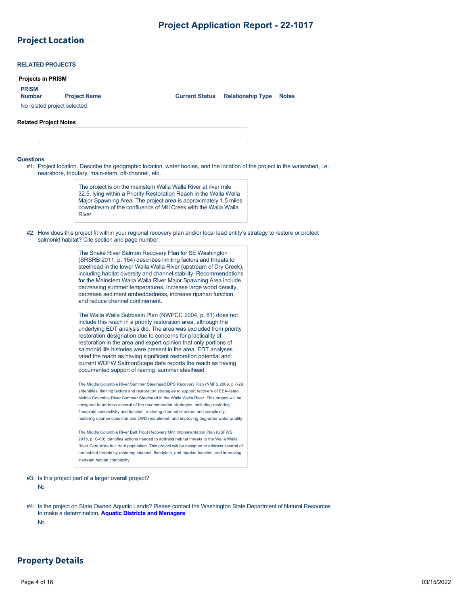## **Project Location**

| <b>Projects in PRISM</b>      |                                                                                                                                                                                                                                                                                                                                                                                                                                                                                                                                                                                                                                                                                                                                                                                                                                                                                                                                                                                                                                                                                                                                                                                         |                       |                          |              |
|-------------------------------|-----------------------------------------------------------------------------------------------------------------------------------------------------------------------------------------------------------------------------------------------------------------------------------------------------------------------------------------------------------------------------------------------------------------------------------------------------------------------------------------------------------------------------------------------------------------------------------------------------------------------------------------------------------------------------------------------------------------------------------------------------------------------------------------------------------------------------------------------------------------------------------------------------------------------------------------------------------------------------------------------------------------------------------------------------------------------------------------------------------------------------------------------------------------------------------------|-----------------------|--------------------------|--------------|
| <b>PRISM</b><br><b>Number</b> |                                                                                                                                                                                                                                                                                                                                                                                                                                                                                                                                                                                                                                                                                                                                                                                                                                                                                                                                                                                                                                                                                                                                                                                         | <b>Current Status</b> |                          | <b>Notes</b> |
| No related project selected   | <b>Project Name</b>                                                                                                                                                                                                                                                                                                                                                                                                                                                                                                                                                                                                                                                                                                                                                                                                                                                                                                                                                                                                                                                                                                                                                                     |                       | <b>Relationship Type</b> |              |
|                               |                                                                                                                                                                                                                                                                                                                                                                                                                                                                                                                                                                                                                                                                                                                                                                                                                                                                                                                                                                                                                                                                                                                                                                                         |                       |                          |              |
| Related Project Notes         |                                                                                                                                                                                                                                                                                                                                                                                                                                                                                                                                                                                                                                                                                                                                                                                                                                                                                                                                                                                                                                                                                                                                                                                         |                       |                          |              |
|                               |                                                                                                                                                                                                                                                                                                                                                                                                                                                                                                                                                                                                                                                                                                                                                                                                                                                                                                                                                                                                                                                                                                                                                                                         |                       |                          |              |
|                               |                                                                                                                                                                                                                                                                                                                                                                                                                                                                                                                                                                                                                                                                                                                                                                                                                                                                                                                                                                                                                                                                                                                                                                                         |                       |                          |              |
| Questions                     | #1: Project location. Describe the geographic location, water bodies, and the location of the project in the watershed, i.e.<br>nearshore, tributary, main-stem, off-channel, etc.                                                                                                                                                                                                                                                                                                                                                                                                                                                                                                                                                                                                                                                                                                                                                                                                                                                                                                                                                                                                      |                       |                          |              |
|                               | The project is on the mainstem Walla Walla River at river mile<br>32.5, Iying within a Priority Restoration Reach in the Walla Walla<br>Major Spawning Area. The project area is approximately 1.5 miles<br>downstream of the confluence of Mill Creek with the Walla Walla<br>River.                                                                                                                                                                                                                                                                                                                                                                                                                                                                                                                                                                                                                                                                                                                                                                                                                                                                                                   |                       |                          |              |
|                               | #2: How does this project fit within your regional recovery plan and/or local lead entity's strategy to restore or protect<br>salmonid habitat? Cite section and page number.                                                                                                                                                                                                                                                                                                                                                                                                                                                                                                                                                                                                                                                                                                                                                                                                                                                                                                                                                                                                           |                       |                          |              |
|                               | The Snake River Salmon Recovery Plan for SE Washington<br>(SRSRB 2011, p. 154) describes limiting factors and threats to<br>steelhead in the lower Walla Walla River (upstream of Dry Creek),<br>including habitat diversity and channel stability. Recommendations<br>for the Mainstem Walla Walla River Major Spawning Area include<br>decreasing summer temperatures, Increase large wood density,<br>decrease sediment embeddedness, increase riparian function,<br>and reduce channel confinement.<br>The Walla Walla Subbasin Plan (NWPCC 2004, p. 61) does not<br>include this reach in a priority restoration area, although the<br>underlying EDT analysis did. The area was excluded from priority<br>restoration designation due to concerns for practicality of<br>restoration in the area and expert opinion that only portions of<br>salmonid life histories were present in the area. EDT analyses<br>rated the reach as having significant restoration potential and<br>current WDFW SalmonScape data reports the reach as having<br>documented support of rearing summer steelhead.<br>The Middle Columbia River Summer Steelhead DPS Recovery Plan (NMFS 2009, p 7-29 |                       |                          |              |
|                               | ) identifies limiting factors and restoration strategies to support recovery of ESA-listed<br>Middle Columbia River Summer Steelhead in the Walla Walla River. This project will be<br>designed to address several of the recommended strategies, including restoring<br>floodplain connectivity and function, restoring channel structure and complexity,<br>restoring riparian condition and LWD recruitment, and improving degraded water quality.<br>The Middle Columbia River Bull Trout Recovery Unit Implementation Plan (USFWS<br>2015, p. C-60) identifies actions needed to address habitat threats to the Walla Walla<br>River Core Area bull trout population. This project will be designed to address several of                                                                                                                                                                                                                                                                                                                                                                                                                                                          |                       |                          |              |
|                               | the habitat threats by restoring channel, floodplain, and riparian function, and improving<br>instream habitat complexity.                                                                                                                                                                                                                                                                                                                                                                                                                                                                                                                                                                                                                                                                                                                                                                                                                                                                                                                                                                                                                                                              |                       |                          |              |

#4: Is the project on State Owned Aquatic Lands? Please contact the Washington State Department of Natural Resources to make a determination. **[Aquatic Districts and Managers](https://www.dnr.wa.gov/programs-and-services/aquatics/aquatic-districts-and-land-managers-map)** No

## **Property Details**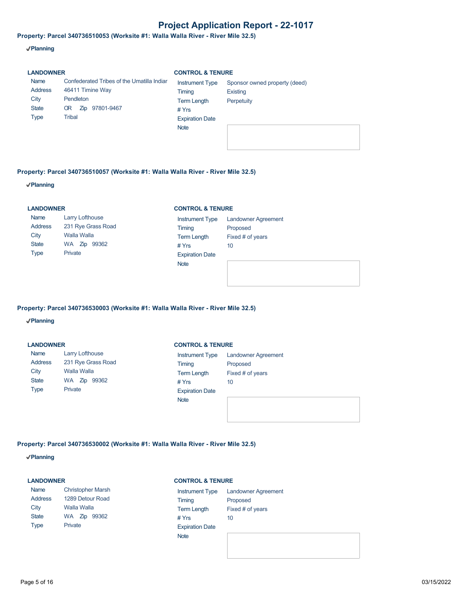**Property: Parcel 340736510053 (Worksite #1: Walla Walla River - River Mile 32.5)**

**Planning**

## **LANDOWNER**

#### **CONTROL & TENURE**

| Name<br><b>Address</b><br>City<br><b>State</b><br>Type | Confederated Tribes of the Umatilla Indiar<br>46411 Timine Way<br>Pendleton<br>97801-9467<br>OR.<br>Zip<br>Tribal | <b>Instrument Type</b><br>Timing<br><b>Term Length</b><br># $Yrs$<br><b>Expiration Date</b> | Sponsor owned property (deed)<br><b>Existing</b><br>Perpetuity |
|--------------------------------------------------------|-------------------------------------------------------------------------------------------------------------------|---------------------------------------------------------------------------------------------|----------------------------------------------------------------|
|                                                        |                                                                                                                   | <b>Note</b>                                                                                 |                                                                |

#### **Property: Parcel 340736510057 (Worksite #1: Walla Walla River - River Mile 32.5)**

**Planning**

#### **LANDOWNER**

| Name         | <b>Larry Lofthouse</b> |  |  |  |
|--------------|------------------------|--|--|--|
| Address      | 231 Rye Grass Road     |  |  |  |
| City         | <b>Walla Walla</b>     |  |  |  |
| <b>State</b> | WA Zip 99362           |  |  |  |
| <b>Type</b>  | Private                |  |  |  |

#### **CONTROL & TENURE**

| <b>Instrument Type</b> | <b>Landowner Agreement</b> |
|------------------------|----------------------------|
| Timing                 | Proposed                   |
| <b>Term Length</b>     | Fixed # of years           |
| # Yrs                  | 10                         |
| <b>Expiration Date</b> |                            |
| <b>Note</b>            |                            |
|                        |                            |

#### **Property: Parcel 340736530003 (Worksite #1: Walla Walla River - River Mile 32.5)**

#### **Planning**

**LANDOWNER**

| <b>Name</b>    | <b>Larry Lofthouse</b> |  |  |  |
|----------------|------------------------|--|--|--|
| <b>Address</b> | 231 Rye Grass Road     |  |  |  |
| City           | <b>Walla Walla</b>     |  |  |  |
| <b>State</b>   | WA Zip 99362           |  |  |  |
| <b>Type</b>    | Private                |  |  |  |

#### **CONTROL & TENURE**

| <b>Instrument Type</b> | <b>Landowner Agreement</b> |
|------------------------|----------------------------|
| Timing                 | Proposed                   |
| <b>Term Length</b>     | Fixed # of years           |
| # $Yrs$                | 10                         |
| <b>Expiration Date</b> |                            |
| <b>Note</b>            |                            |
|                        |                            |
|                        |                            |

#### **Property: Parcel 340736530002 (Worksite #1: Walla Walla River - River Mile 32.5)**

**Planning**

#### **LANDOWNER**

| Name         | <b>Christopher Marsh</b> |  |  |  |
|--------------|--------------------------|--|--|--|
| Address      | 1289 Detour Road         |  |  |  |
| City         | Walla Walla              |  |  |  |
| <b>State</b> | WA Zip 99362             |  |  |  |
| <b>Type</b>  | Private                  |  |  |  |

#### **CONTROL & TENURE**

| <b>Instrument Type</b> | Iа  |
|------------------------|-----|
| Timing                 | Pr  |
| <b>Term Length</b>     | Fix |
| # Yrs                  | 10  |
| <b>Expiration Date</b> |     |
| <b>Note</b>            |     |
|                        |     |

**Indowner Agreement** oposed  $\kappa$ ed # of years 10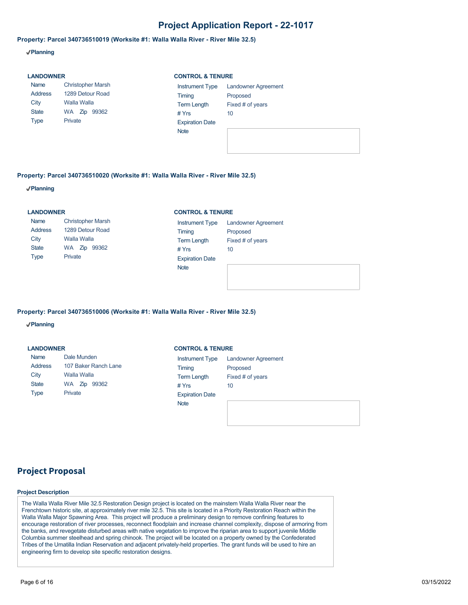#### **Property: Parcel 340736510019 (Worksite #1: Walla Walla River - River Mile 32.5)**

**Planning**

| <b>LANDOWNER</b>                                              |                                                                                        |                                                                                                            | <b>CONTROL &amp; TENURE</b>                                      |  |  |  |
|---------------------------------------------------------------|----------------------------------------------------------------------------------------|------------------------------------------------------------------------------------------------------------|------------------------------------------------------------------|--|--|--|
| Name<br><b>Address</b><br>City<br><b>State</b><br><b>Type</b> | <b>Christopher Marsh</b><br>1289 Detour Road<br>Walla Walla<br>WA Zip 99362<br>Private | <b>Instrument Type</b><br>Timing<br><b>Term Length</b><br># $Yrs$<br><b>Expiration Date</b><br><b>Note</b> | <b>Landowner Agreement</b><br>Proposed<br>Fixed # of years<br>10 |  |  |  |

#### **Property: Parcel 340736510020 (Worksite #1: Walla Walla River - River Mile 32.5)**

**Planning**

#### **LANDOWNER**

| Name         | <b>Christopher Marsh</b> |  |  |  |  |  |
|--------------|--------------------------|--|--|--|--|--|
| Address      | 1289 Detour Road         |  |  |  |  |  |
| City         | Walla Walla              |  |  |  |  |  |
| <b>State</b> | WA Zip 99362             |  |  |  |  |  |
| Type         | Private                  |  |  |  |  |  |

#### **CONTROL & TENURE**

| <b>Instrument Type</b> | <b>Landowner Agreement</b> |
|------------------------|----------------------------|
| Timing                 | Proposed                   |
| <b>Term Length</b>     | Fixed # of years           |
| # Yrs                  | 10                         |
| <b>Expiration Date</b> |                            |
| <b>Note</b>            |                            |
|                        |                            |

#### **Property: Parcel 340736510006 (Worksite #1: Walla Walla River - River Mile 32.5)**

**Planning**

| <b>LANDOWNER</b> |                      |                        | <b>CONTROL &amp; TENURE</b> |  |  |  |
|------------------|----------------------|------------------------|-----------------------------|--|--|--|
| Name             | Dale Munden          | <b>Instrument Type</b> | <b>Landowner Agreement</b>  |  |  |  |
| Address          | 107 Baker Ranch Lane | Timing                 | Proposed                    |  |  |  |
| City             | Walla Walla          | <b>Term Length</b>     | Fixed # of years            |  |  |  |
| <b>State</b>     | 99362<br>WA Zip      | # $Yrs$                | 10                          |  |  |  |
| <b>Type</b>      | Private              | <b>Expiration Date</b> |                             |  |  |  |
|                  |                      | <b>Note</b>            |                             |  |  |  |

## **Project Proposal**

#### **Project Description**

The Walla Walla River Mile 32.5 Restoration Design project is located on the mainstem Walla Walla River near the Frenchtown historic site, at approximately river mile 32.5. This site is located in a Priority Restoration Reach within the Walla Walla Major Spawning Area. This project will produce a preliminary design to remove confining features to encourage restoration of river processes, reconnect floodplain and increase channel complexity, dispose of armoring from the banks, and revegetate disturbed areas with native vegetation to improve the riparian area to support juvenile Middle Columbia summer steelhead and spring chinook. The project will be located on a property owned by the Confederated Tribes of the Umatilla Indian Reservation and adjacent privately-held properties. The grant funds will be used to hire an engineering firm to develop site specific restoration designs.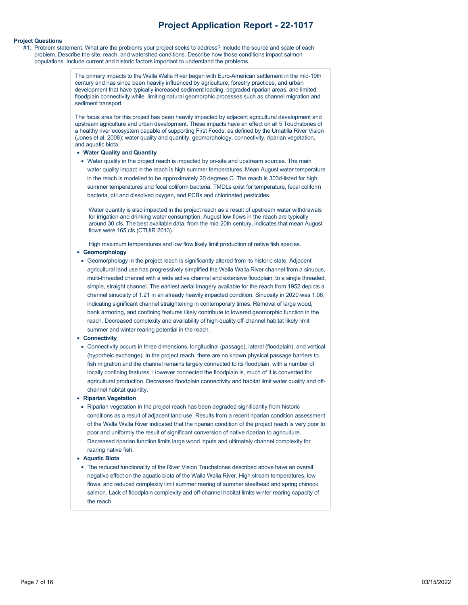#### **Project Questions**

#1: Problem statement. What are the problems your project seeks to address? Include the source and scale of each problem. Describe the site, reach, and watershed conditions. Describe how those conditions impact salmon populations. Include current and historic factors important to understand the problems.

> The primary impacts to the Walla Walla River began with Euro-American settlement in the mid-19th century and has since been heavily influenced by agriculture, forestry practices, and urban development that have typically increased sediment loading, degraded riparian areas, and limited floodplain connectivity while limiting natural geomorphic processes such as channel migration and sediment transport.

The focus area for this project has been heavily impacted by adjacent agricultural development and upstream agriculture and urban development. These impacts have an effect on all 5 Touchstones of a healthy river ecosystem capable of supporting First Foods, as defined by the Umatilla River Vision (Jones et al. 2008): water quality and quantity, geomorphology, connectivity, riparian vegetation, and aquatic biota.

- **Water Quality and Quantity**
- Water quality in the project reach is impacted by on-site and upstream sources. The main water quality impact in the reach is high summer temperatures. Mean August water temperature in the reach is modelled to be approximately 20 degrees C. The reach is 303d-listed for high summer temperatures and fecal coliform bacteria. TMDLs exist for temperature, fecal coliform bacteria, pH and dissolved oxygen, and PCBs and chlorinated pesticides.

Water quantity is also impacted in the project reach as a result of upstream water withdrawals for irrigation and drinking water consumption. August low flows in the reach are typically around 30 cfs. The best available data, from the mid-20th century, indicates that mean August flows were 165 cfs (CTUIR 2013).

High maximum temperatures and low flow likely limit production of native fish species.

#### **Geomorphology**

Geomorphology in the project reach is significantly altered from its historic state. Adjacent agricultural land use has progressively simplified the Walla Walla River channel from a sinuous, multi-threaded channel with a wide active channel and extensive floodplain, to a single threaded, simple, straight channel. The earliest aerial imagery available for the reach from 1952 depicts a channel sinuosity of 1.21 in an already heavily impacted condition. Sinuosity in 2020 was 1.06, indicating significant channel straightening in contemporary times. Removal of large wood, bank armoring, and confining features likely contribute to lowered geomorphic function in the reach. Decreased complexity and availability of high-quality off-channel habitat likely limit summer and winter rearing potential in the reach.

#### **Connectivity**

Connectivity occurs in three dimensions, longitudinal (passage), lateral (floodplain), and vertical (hyporheic exchange). In the project reach, there are no known physical passage barriers to fish migration and the channel remains largely connected to its floodplain, with a number of locally confining features. However connected the floodplain is, much of it is converted for agricultural production. Decreased floodplain connectivity and habitat limit water quality and offchannel habitat quantity.

#### **Riparian Vegetation**

• Riparian vegetation in the project reach has been degraded significantly from historic conditions as a result of adjacent land use. Results from a recent riparian condition assessment of the Walla Walla River indicated that the riparian condition of the project reach is very poor to poor and uniformly the result of significant conversion of native riparian to agriculture. Decreased riparian function limits large wood inputs and ultimately channel complexity for rearing native fish.

#### **Aquatic Biota**

The reduced functionality of the River Vision Touchstones described above have an overall negative effect on the aquatic biota of the Walla Walla River. High stream temperatures, low flows, and reduced complexity limit summer rearing of summer steelhead and spring chinook salmon. Lack of floodplain complexity and off-channel habitat limits winter rearing capacity of the reach.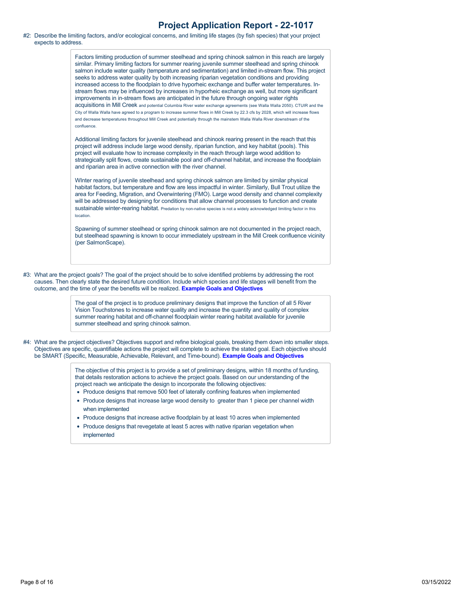#2: Describe the limiting factors, and/or ecological concerns, and limiting life stages (by fish species) that your project expects to address.

> Factors limiting production of summer steelhead and spring chinook salmon in this reach are largely similar. Primary limiting factors for summer rearing juvenile summer steelhead and spring chinook salmon include water quality (temperature and sedimentation) and limited in-stream flow. This project seeks to address water quality by both increasing riparian vegetation conditions and providing increased access to the floodplain to drive hyporheic exchange and buffer water temperatures. Instream flows may be influenced by increases in hyporheic exchange as well, but more significant improvements in in-stream flows are anticipated in the future through ongoing water rights acquisitions in Mill Creek and potential Columbia River water exchange agreements (see Walla Walla 2050). CTUIR and the City of Walla Walla have agreed to a program to increase summer flows in Mill Creek by 22.3 cfs by 2028, which will increase flows and decrease temperatures throughout Mill Creek and potentially through the mainstem Walla Walla River downstream of the confluence.

Additional limiting factors for juvenile steelhead and chinook rearing present in the reach that this project will address include large wood density, riparian function, and key habitat (pools). This project will evaluate how to increase complexity in the reach through large wood addition to strategically split flows, create sustainable pool and off-channel habitat, and increase the floodplain and riparian area in active connection with the river channel.

WInter rearing of juvenile steelhead and spring chinook salmon are limited by similar physical habitat factors, but temperature and flow are less impactful in winter. Similarly, Bull Trout utilize the area for Feeding, Migration, and Overwintering (FMO). Large wood density and channel complexity will be addressed by designing for conditions that allow channel processes to function and create sustainable winter-rearing habitat. Predation by non-native species is not a widely acknowledged limiting factor in this location.

Spawning of summer steelhead or spring chinook salmon are not documented in the project reach, but steelhead spawning is known to occur immediately upstream in the Mill Creek confluence vicinity (per SalmonScape).

#3: What are the project goals? The goal of the project should be to solve identified problems by addressing the root causes. Then clearly state the desired future condition. Include which species and life stages will benefit from the outcome, and the time of year the benefits will be realized. **[Example Goals and Objectives](https://rco.wa.gov/wp-content/uploads/2020/02/SRFB-Goals-and-Objectives-Examples.docx)**

> The goal of the project is to produce preliminary designs that improve the function of all 5 River Vision Touchstones to increase water quality and increase the quantity and quality of complex summer rearing habitat and off-channel floodplain winter rearing habitat available for juvenile summer steelhead and spring chinook salmon.

#4: What are the project objectives? Objectives support and refine biological goals, breaking them down into smaller steps. Objectives are specific, quantifiable actions the project will complete to achieve the stated goal. Each objective should be SMART (Specific, Measurable, Achievable, Relevant, and Time-bound). **[Example Goals and Objectives](https://rco.wa.gov/wp-content/uploads/2020/02/SRFB-Goals-and-Objectives-Examples.docx)**

> The objective of this project is to provide a set of preliminary designs, within 18 months of funding, that details restoration actions to achieve the project goals. Based on our understanding of the project reach we anticipate the design to incorporate the following objectives:

- Produce designs that remove 500 feet of laterally confining features when implemented
- Produce designs that increase large wood density to greater than 1 piece per channel width when implemented
- Produce designs that increase active floodplain by at least 10 acres when implemented
- Produce designs that revegetate at least 5 acres with native riparian vegetation when implemented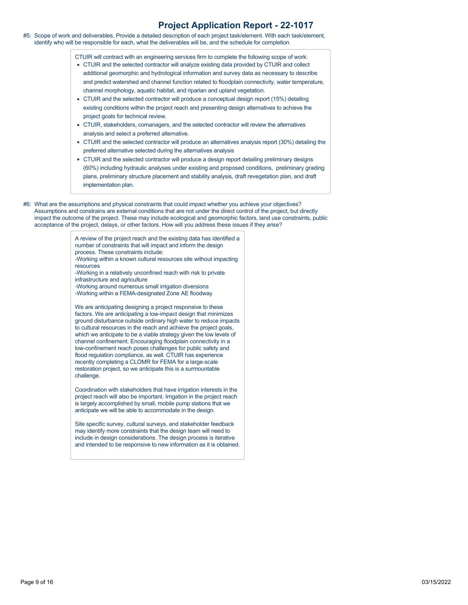#5: Scope of work and deliverables. Provide a detailed description of each project task/element. With each task/element, identify who will be responsible for each, what the deliverables will be, and the schedule for completion.

CTUIR will contract with an engineering services firm to complete the following scope of work:

- CTUIR and the selected contractor will analyze existing data provided by CTUIR and collect additional geomorphic and hydrological information and survey data as necessary to describe and predict watershed and channel function related to floodplain connectivity, water temperature, channel morphology, aquatic habitat, and riparian and upland vegetation.
- CTUIR and the selected contractor will produce a conceptual design report (15%) detailing existing conditions within the project reach and presenting design alternatives to achieve the project goals for technical review.
- CTUIR, stakeholders, comanagers, and the selected contractor will review the alternatives analysis and select a preferred alternative.
- CTUIR and the selected contractor will produce an alternatives analysis report (30%) detailing the preferred alternative selected during the alternatives analysis
- CTUIR and the selected contractor will produce a design report detailing preliminary designs (60%) including hydraulic analyses under existing and proposed conditions, preliminary grading plans, preliminary structure placement and stability analysis, draft revegetation plan, and draft implementation plan.
- #6: What are the assumptions and physical constraints that could impact whether you achieve your objectives? Assumptions and constrains are external conditions that are not under the direct control of the project, but directly impact the outcome of the project. These may include ecological and geomorphic factors, land use constraints, public acceptance of the project, delays, or other factors. How will you address these issues if they arise?

A review of the project reach and the existing data has identified a number of constraints that will impact and inform the design process. These constraints include: -Working within a known cultural resources site without impacting resources

- -Working in a relatively unconfined reach with risk to private infrastructure and agriculture
- -Working around numerous small irrigation diversions -Working within a FEMA-designated Zone AE floodway

We are anticipating designing a project responsive to these factors. We are anticipating a low-impact design that minimizes ground disturbance outside ordinary high water to reduce impacts to cultural resources in the reach and achieve the project goals, which we anticipate to be a viable strategy given the low levels of channel confinement. Encouraging floodplain connectivity in a low-confinement reach poses challenges for public safety and flood regulation compliance, as well. CTUIR has experience recently completing a CLOMR for FEMA for a large-scale restoration project, so we anticipate this is a surmountable challenge.

Coordination with stakeholders that have irrigation interests in the project reach will also be important. Irrigation in the project reach is largely accomplished by small, mobile pump stations that we anticipate we will be able to accommodate in the design.

Site specific survey, cultural surveys, and stakeholder feedback may identify more constraints that the design team will need to include in design considerations. The design process is iterative and intended to be responsive to new information as it is obtained.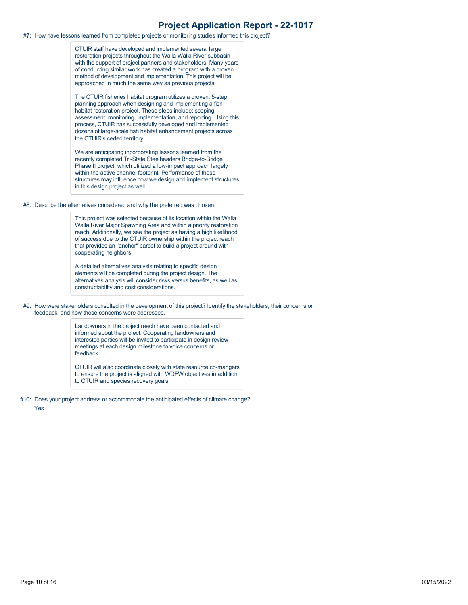#7: How have lessons learned from completed projects or monitoring studies informed this project?

CTUIR staff have developed and implemented several large restoration projects throughout the Walla Walla River subbasin with the support of project partners and stakeholders. Many years of conducting similar work has created a program with a proven method of development and implementation. This project will be approached in much the same way as previous projects.

The CTUIR fisheries habitat program utilizes a proven, 5-step planning approach when designing and implementing a fish habitat restoration project. These steps include: scoping, assessment, monitoring, implementation, and reporting. Using this process, CTUIR has successfully developed and implemented dozens of large-scale fish habitat enhancement projects across the CTUIR's ceded territory.

We are anticipating incorporating lessons learned from the recently completed Tri-State Steelheaders Bridge-to-Bridge Phase II project, which utilized a low-impact approach largely within the active channel footprint. Performance of those structures may influence how we design and implement structures in this design project as well.

#8: Describe the alternatives considered and why the preferred was chosen.

This project was selected because of its location within the Walla Walla River Major Spawning Area and within a priority restoration reach. Additionally, we see the project as having a high likelihood of success due to the CTUIR ownership within the project reach that provides an "anchor" parcel to build a project around with cooperating neighbors.

A detailed alternatives analysis relating to specific design elements will be completed during the project design. The alternatives analysis will consider risks versus benefits, as well as constructability and cost considerations.

#9: How were stakeholders consulted in the development of this project? Identify the stakeholders, their concerns or feedback, and how those concerns were addressed.

> Landowners in the project reach have been contacted and informed about the project. Cooperating landowners and interested parties will be invited to participate in design review meetings at each design milestone to voice concerns or feedback.

CTUIR will also coordinate closely with state resource co-mangers to ensure the project is aligned with WDFW objectives in addition to CTUIR and species recovery goals.

#10: Does your project address or accommodate the anticipated effects of climate change?

Yes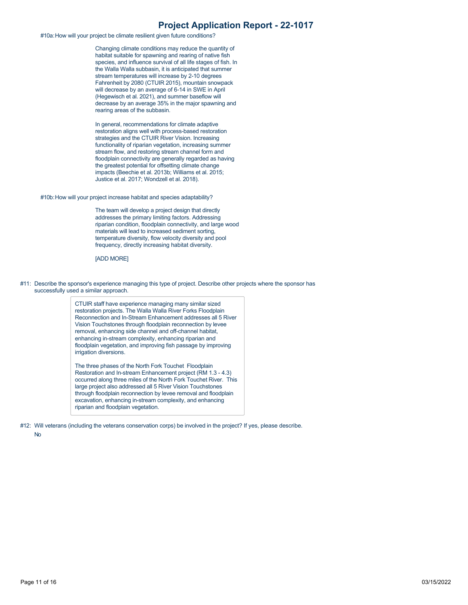#10a:How will your project be climate resilient given future conditions?

Changing climate conditions may reduce the quantity of habitat suitable for spawning and rearing of native fish species, and influence survival of all life stages of fish. In the Walla Walla subbasin, it is anticipated that summer stream temperatures will increase by 2-10 degrees Fahrenheit by 2080 (CTUIR 2015), mountain snowpack will decrease by an average of 6-14 in SWE in April (Hegewisch et al. 2021), and summer baseflow will decrease by an average 35% in the major spawning and rearing areas of the subbasin.

In general, recommendations for climate adaptive restoration aligns well with process-based restoration strategies and the CTUIR River Vision. Increasing functionality of riparian vegetation, increasing summer stream flow, and restoring stream channel form and floodplain connectivity are generally regarded as having the greatest potential for offsetting climate change impacts (Beechie et al. 2013b; Williams et al. 2015; Justice et al. 2017; Wondzell et al. 2018).

#10b:How will your project increase habitat and species adaptability?

The team will develop a project design that directly addresses the primary limiting factors. Addressing riparian condition, floodplain connectivity, and large wood materials will lead to increased sediment sorting, temperature diversity, flow velocity diversity and pool frequency, directly increasing habitat diversity.

[ADD MORE]

#11: Describe the sponsor's experience managing this type of project. Describe other projects where the sponsor has successfully used a similar approach.

> CTUIR staff have experience managing many similar sized restoration projects. The Walla Walla River Forks Floodplain Reconnection and In-Stream Enhancement addresses all 5 River Vision Touchstones through floodplain reconnection by levee removal, enhancing side channel and off-channel habitat, enhancing in-stream complexity, enhancing riparian and floodplain vegetation, and improving fish passage by improving irrigation diversions.

> The three phases of the North Fork Touchet Floodplain Restoration and In-stream Enhancement project (RM 1.3 - 4.3) occurred along three miles of the North Fork Touchet River. This large project also addressed all 5 River Vision Touchstones through floodplain reconnection by levee removal and floodplain excavation, enhancing in-stream complexity, and enhancing riparian and floodplain vegetation.

#12: Will veterans (including the veterans conservation corps) be involved in the project? If yes, please describe.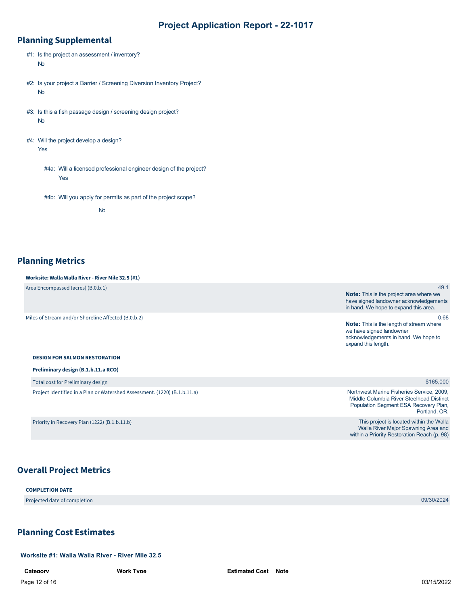## **Planning Supplemental**

- #1: Is the project an assessment / inventory? No
- #2: Is your project a Barrier / Screening Diversion Inventory Project? No
- #3: Is this a fish passage design / screening design project? No
- #4: Will the project develop a design? Yes
	- #4a: Will a licensed professional engineer design of the project? Yes
	- #4b: Will you apply for permits as part of the project scope?

No

## **Planning Metrics**

#### **Worksite: Walla Walla River - River Mile 32.5 (#1)** Area Encompassed (acres) (B.0.b.1) Miles of Stream and/or Shoreline Affected (B.0.b.2) **DESIGN FOR SALMON RESTORATION Note:** This is the project area where we have signed landowner acknowledgements in hand. We hope to expand this area. **Note:** This is the length of stream where we have signed landowner acknowledgements in hand. We hope to expand this length.

#### **Preliminary design (B.1.b.11.a RCO)**

Total cost for Preliminary design

Project Identified in a Plan or Watershed Assessment. (1220) (B.1.b.11.a)

Priority in Recovery Plan (1222) (B.1.b.11.b)

#### \$165,000

49.1

0.68

Northwest Marine Fisheries Service, 2009, Middle Columbia River Steelhead Distinct Population Segment ESA Recovery Plan, Portland, OR.

This project is located within the Walla Walla River Major Spawning Area and within a Priority Restoration Reach (p. 98)

## **Overall Project Metrics**

**COMPLETION DATE**

Projected date of completion 09/30/2024

## <span id="page-11-0"></span>**Planning Cost Estimates**

**Worksite #1: Walla Walla River - River Mile 32.5**

Page 12 of 16 03/15/2022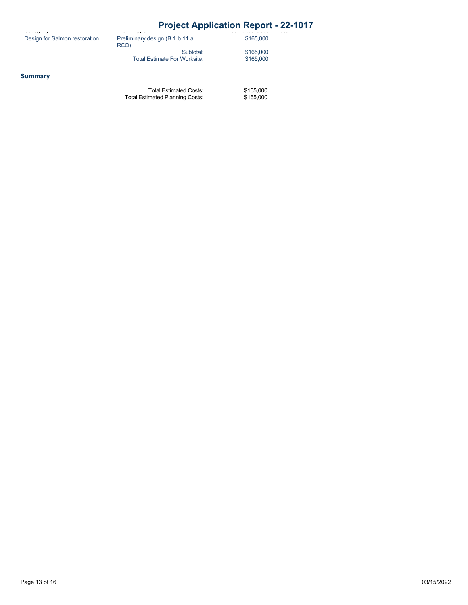## **Category Project Application Report - 22-1017**

| .                             | .                              |
|-------------------------------|--------------------------------|
| Design for Salmon restoration | Preliminary design (B.1.b.11.a |

| سنبوس والممتسماء                    |  |  |  |  |  |  |  |  |
|-------------------------------------|--|--|--|--|--|--|--|--|
| Preliminary design (B.1.b.11.a      |  |  |  |  |  |  |  |  |
| RCO)                                |  |  |  |  |  |  |  |  |
| Subtotal:                           |  |  |  |  |  |  |  |  |
| <b>Total Estimate For Worksite:</b> |  |  |  |  |  |  |  |  |

\$165,000 \$165,000

\$165,000

**Summary**

Total Estimated Costs: Total Estimated Planning Costs: \$165,000 \$165,000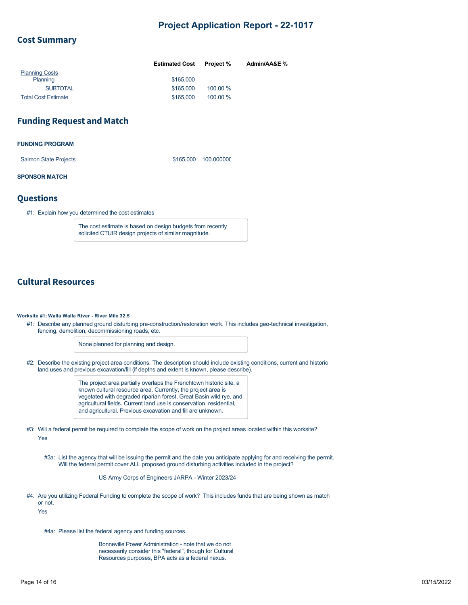### **Cost Summary**

|                            | <b>Estimated Cost</b> | <b>Project %</b> | Admin/AA&E % |
|----------------------------|-----------------------|------------------|--------------|
| <b>Planning Costs</b>      |                       |                  |              |
| Planning                   | \$165,000             |                  |              |
| <b>SUBTOTAL</b>            | \$165,000             | 100.00 %         |              |
| <b>Total Cost Estimate</b> | \$165,000             | 100.00 %         |              |

## **Funding Request and Match**

#### **FUNDING PROGRAM**

Salmon State Projects \$165,000 100.000000

#### **SPONSOR MATCH**

### **Questions**

#1: Explain how you determined the cost estimates

The cost estimate is based on design budgets from recently solicited CTUIR design projects of similar magnitude.

## **Cultural Resources**

#### **Worksite #1: Walla Walla River - River Mile 32.5**

#1: Describe any planned ground disturbing pre-construction/restoration work. This includes geo-technical investigation, fencing, demolition, decommissioning roads, etc.

None planned for planning and design.

#2: Describe the existing project area conditions. The description should include existing conditions, current and historic land uses and previous excavation/fill (if depths and extent is known, please describe).

> The project area partially overlaps the Frenchtown historic site, a known cultural resource area. Currently, the project area is vegetated with degraded riparian forest, Great Basin wild rye, and agricultural fields. Current land use is conservation, residential, and agricultural. Previous excavation and fill are unknown.

#3: Will a federal permit be required to complete the scope of work on the project areas located within this worksite? Yes

#3a: List the agency that will be issuing the permit and the date you anticipate applying for and receiving the permit. Will the federal permit cover ALL proposed ground disturbing activities included in the project?

US Army Corps of Engineers JARPA - Winter 2023/24

#4: Are you utilizing Federal Funding to complete the scope of work? This includes funds that are being shown as match or not.

Yes

#4a: Please list the federal agency and funding sources.

Bonneville Power Administration - note that we do not necessarily consider this "federal", though for Cultural Resources purposes, BPA acts as a federal nexus.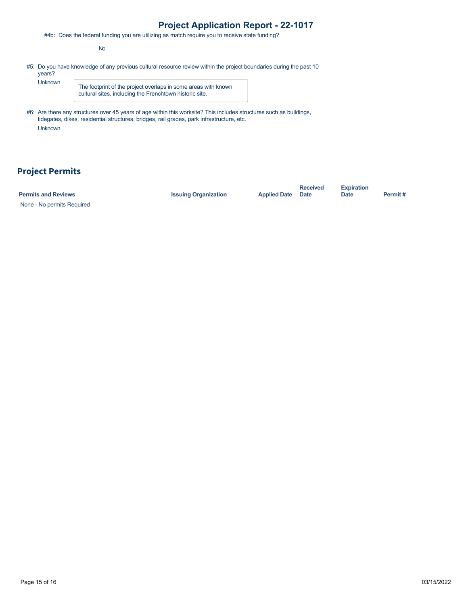#4b: Does the federal funding you are utilizing as match require you to receive state funding?

No

#5: Do you have knowledge of any previous cultural resource review within the project boundaries during the past 10 years?

Unknown

The footprint of the project overlaps in some areas with known cultural sites, including the Frenchtown historic site.

#6: Are there any structures over 45 years of age within this worksite? This includes structures such as buildings, tidegates, dikes, residential structures, bridges, rail grades, park infrastructure, etc. Unknown

## **Project Permits**

| <b>Permits and Reviews</b> | <b>Issuing Organization</b> | <b>Applied Date</b> Date | <b>Received</b> | <b>Expiration</b><br>Date | Permit# |
|----------------------------|-----------------------------|--------------------------|-----------------|---------------------------|---------|
| None - No permits Required |                             |                          |                 |                           |         |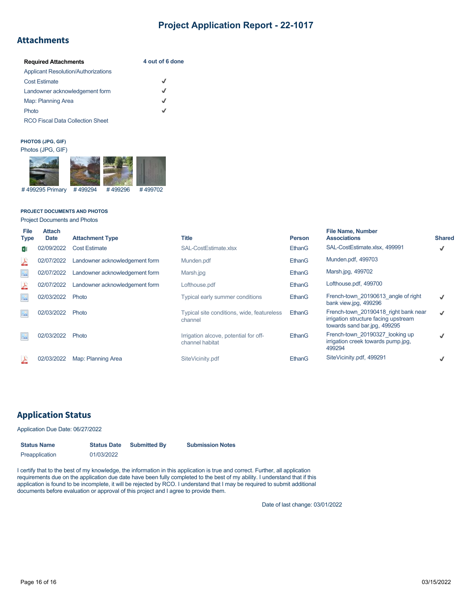## **Attachments**

| <b>Required Attachments</b>                | 4 out of 6 done |
|--------------------------------------------|-----------------|
| <b>Applicant Resolution/Authorizations</b> |                 |
| <b>Cost Estimate</b>                       | $\checkmark$    |
| Landowner acknowledgement form             | J               |
| Map: Planning Area                         | J               |
| Photo                                      | √               |
| <b>RCO Fiscal Data Collection Sheet</b>    |                 |

#### **PHOTOS (JPG, GIF)**

#### Photos (JPG, GIF)



#### **PROJECT DOCUMENTS AND PHOTOS**

Project Documents and Photos

| File<br><b>Type</b>       | <b>Attach</b><br><b>Date</b> | <b>Attachment Type</b>         | <b>Title</b>                                             | <b>Person</b> | <b>File Name, Number</b><br><b>Associations</b>                                                              | <b>Shared</b> |
|---------------------------|------------------------------|--------------------------------|----------------------------------------------------------|---------------|--------------------------------------------------------------------------------------------------------------|---------------|
| x∎                        | 02/09/2022                   | <b>Cost Estimate</b>           | SAL-CostEstimate.xlsx                                    | EthanG        | SAL-CostEstimate.xlsx, 499991                                                                                | √             |
| 스                         | 02/07/2022                   | Landowner acknowledgement form | Munden.pdf                                               | EthanG        | Munden.pdf, 499703                                                                                           |               |
| $\Delta^{\circ}_{\infty}$ | 02/07/2022                   | Landowner acknowledgement form | Marsh.jpg                                                | EthanG        | Marsh.jpg, 499702                                                                                            |               |
| 스                         | 02/07/2022                   | Landowner acknowledgement form | Lofthouse.pdf                                            | EthanG        | Lofthouse.pdf, 499700                                                                                        |               |
| $\frac{1}{2}$             | 02/03/2022                   | Photo                          | Typical early summer conditions                          | EthanG        | French-town 20190613 angle of right<br>bank view.jpg, 499296                                                 | J             |
| $\frac{1}{2}$             | 02/03/2022                   | Photo                          | Typical site conditions, wide, featureless<br>channel    | EthanG        | French-town 20190418 right bank near<br>irrigation structure facing upstream<br>towards sand bar.jpg, 499295 | J             |
| $\infty$                  | 02/03/2022                   | Photo                          | Irrigation alcove, potential for off-<br>channel habitat | EthanG        | French-town 20190327 looking up<br>irrigation creek towards pump.jpg,<br>499294                              |               |
|                           | 02/03/2022                   | Map: Planning Area             | SiteVicinity.pdf                                         | EthanG        | SiteVicinity.pdf, 499291                                                                                     |               |

## **Application Status**

#### Application Due Date: 06/27/2022

| <b>Status Name</b> | <b>Status Date</b> | <b>Submitted By</b> | <b>Submission Notes</b> |  |
|--------------------|--------------------|---------------------|-------------------------|--|
| Preapplication     | 01/03/2022         |                     |                         |  |

I certify that to the best of my knowledge, the information in this application is true and correct. Further, all application requirements due on the application due date have been fully completed to the best of my ability. I understand that if this application is found to be incomplete, it will be rejected by RCO. I understand that I may be required to submit additional documents before evaluation or approval of this project and I agree to provide them.

Date of last change: 03/01/2022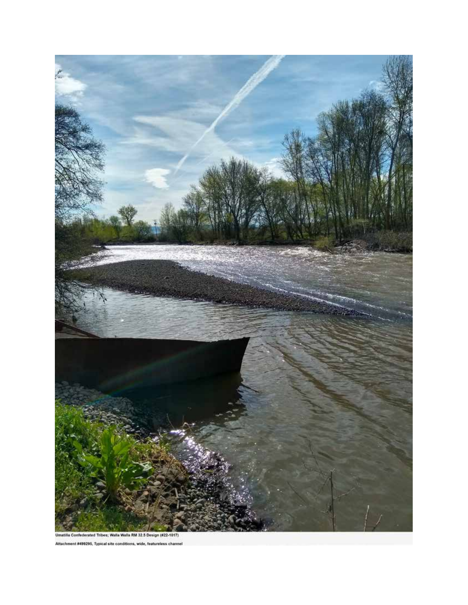

es; Walla Walla RM 32.5 Design (#22-1017) rated Trib Attachment #499296, Typical site conditions, wide, feature ie ch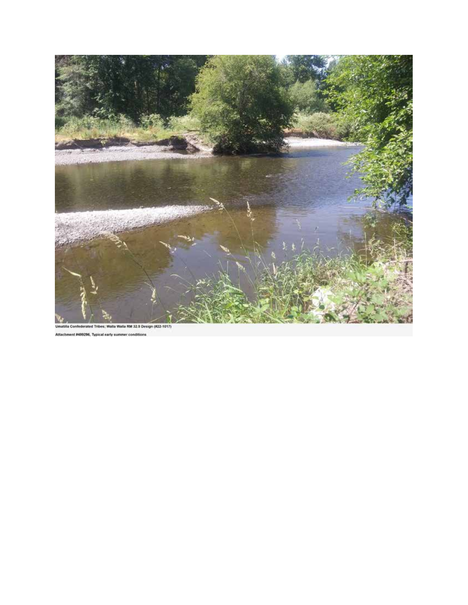

Attachment #499296, Typical early summer or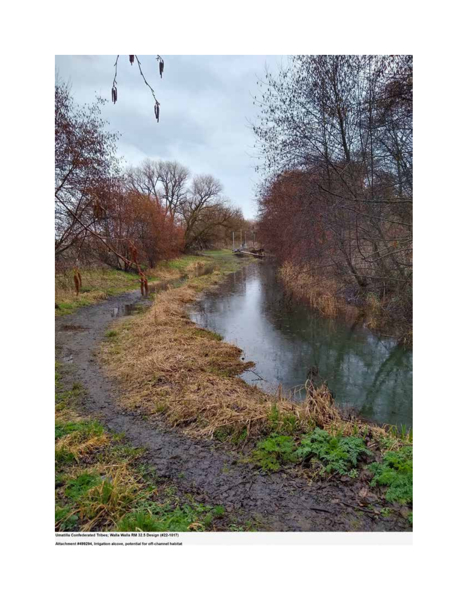

Attachment #499294, Irrigation alcove, potential for off-channel habitat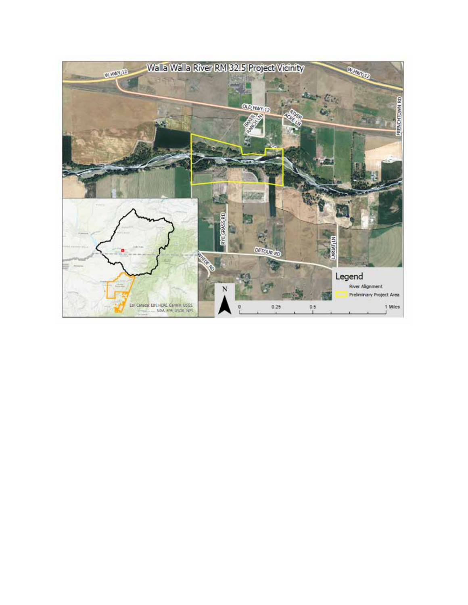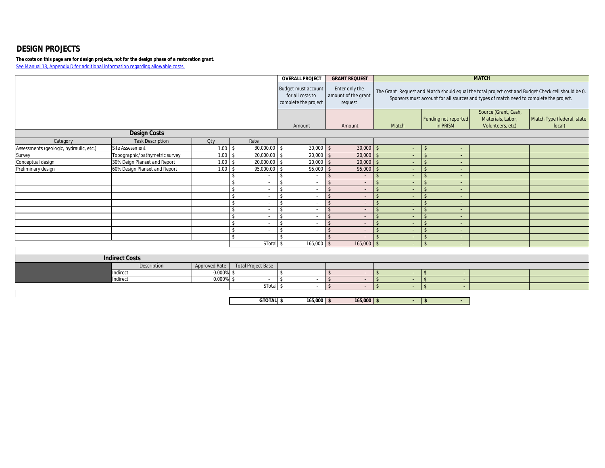## **DESIGN PROJECTS**

**The costs on this page are for design projects, not for the design phase of a restoration grant.**  See Manual 18, Appendix D for additional information regarding allowable costs.

|                                         |                                |               |                              | <b>OVERALL PROJECT</b>                                                 | <b>GRANT REQUEST</b>                             |                          |                                  | <b>MATCH</b>                                                                           |                                                                                                    |
|-----------------------------------------|--------------------------------|---------------|------------------------------|------------------------------------------------------------------------|--------------------------------------------------|--------------------------|----------------------------------|----------------------------------------------------------------------------------------|----------------------------------------------------------------------------------------------------|
|                                         |                                |               |                              | <b>Budget must account</b><br>for all costs to<br>complete the project | Enter only the<br>amount of the grant<br>request |                          |                                  | Sponsors must account for all sources and types of match need to complete the project. | The Grant Request and Match should equal the total project cost and Budget Check cell should be 0. |
|                                         |                                |               |                              | Amount                                                                 | Amount                                           | Match                    | Funding not reported<br>in PRISM | Source (Grant, Cash,<br>Materials, Labor,<br>Volunteers, etc)                          | Match Type (federal, state,<br>local)                                                              |
|                                         | <b>Design Costs</b>            |               |                              |                                                                        |                                                  |                          |                                  |                                                                                        |                                                                                                    |
| Category                                | <b>Task Description</b>        | Otv           | Rate                         |                                                                        |                                                  |                          |                                  |                                                                                        |                                                                                                    |
| Assessments (geologic, hydraulic, etc.) | <b>Site Assessment</b>         | 1.00          | 30,000.00<br>\$              | 30,000<br>$\sqrt{S}$                                                   | $30,000$ \$<br>$\mathcal{S}$                     |                          | -S<br>÷.                         |                                                                                        |                                                                                                    |
| Survey                                  | Topographic/bathymetric survey | 1.00          | 20,000.00 \$<br>ፍ            | 20,000                                                                 | 20,000                                           |                          | ÷.                               |                                                                                        |                                                                                                    |
| Conceptual design                       | 30% Deign Planset and Report   | 1.00          | 20,000.00 \$<br>£.           | 20,000                                                                 | 20,000<br>$\mathcal{S}$                          |                          | $\sim$                           |                                                                                        |                                                                                                    |
| Preliminary design                      | 60% Design Planset and Report  | 1.00          | 95,000.00 \$                 | 95,000                                                                 | 95,000                                           |                          | $\sim$                           |                                                                                        |                                                                                                    |
|                                         |                                |               |                              | ፍ                                                                      | <b>S</b><br>$\sim$                               | $\sim$                   | $\sim$                           |                                                                                        |                                                                                                    |
|                                         |                                |               | $\sim$                       | $\hat{\mathbf{r}}$                                                     | <b>¢</b><br>$\sim$                               |                          | $\sim$                           |                                                                                        |                                                                                                    |
|                                         |                                |               | $\mathbf{\hat{S}}$<br>$\sim$ | $\mathbf{\hat{S}}$<br>$\sim$                                           | $\mathbf{\hat{s}}$<br>$\sim$                     | $\sim$                   | $\sim$                           |                                                                                        |                                                                                                    |
|                                         |                                |               | \$                           | $\mathbf{\hat{s}}$                                                     | $\hat{\mathbf{r}}$<br>$\overline{\phantom{a}}$   | $\overline{\phantom{a}}$ | $\sim$                           |                                                                                        |                                                                                                    |
|                                         |                                |               | \$.<br>$\sim$                | \$<br>$\sim$                                                           | $\mathcal{S}$<br>$\sim$                          | $\sim$                   | $\sim$                           |                                                                                        |                                                                                                    |
|                                         |                                |               | \$<br>$\sim$                 | $\mathcal{S}$<br>$\sim$                                                | $\mathcal{S}$<br>$\sim$                          | $\sim$                   | $\sim$                           |                                                                                        |                                                                                                    |
|                                         |                                |               | $\hat{\mathbf{S}}$<br>$\sim$ | $\mathbf{\hat{S}}$                                                     | $\mathcal{S}$<br>$\sim$                          | $\sim$                   | $\sim$                           |                                                                                        |                                                                                                    |
|                                         |                                |               | $\sim$                       | $\overline{\phantom{a}}$                                               | $\mathcal{S}$<br>$\sim$                          | $\sim$                   | $\sim$                           |                                                                                        |                                                                                                    |
|                                         |                                |               | ¢<br>$\sim$                  | \$                                                                     | $\mathbf{\hat{s}}$                               |                          | ÷.                               |                                                                                        |                                                                                                    |
|                                         |                                |               | $\sim$                       | \$<br>$\sim$                                                           | $\mathsf{\$}$<br>$\sim$                          |                          | $\sim$                           |                                                                                        |                                                                                                    |
|                                         |                                |               | STotal <sub>\$</sub>         | 165,000                                                                | 165,000<br>$\hat{\zeta}$                         |                          | ÷.                               |                                                                                        |                                                                                                    |
|                                         |                                |               |                              |                                                                        |                                                  |                          |                                  |                                                                                        |                                                                                                    |
|                                         | <b>Indirect Costs</b>          |               |                              |                                                                        |                                                  |                          |                                  |                                                                                        |                                                                                                    |
|                                         | Description                    | Approved Rate | <b>Total Project Base</b>    |                                                                        |                                                  |                          |                                  |                                                                                        |                                                                                                    |
|                                         | Indirect                       | 0.000%        | -c<br>$\sim$                 | $\mathsf{\$}$<br>$\sim$                                                | $\mathsf{\$}$<br>$\sim$                          |                          | $\sim$                           |                                                                                        |                                                                                                    |
|                                         | Indirect                       | 0.000%        | ፍ                            | $\mathbf{\hat{S}}$                                                     | $\mathsf{\$}$                                    |                          | $\sim$                           |                                                                                        |                                                                                                    |
|                                         |                                |               | STotal \$                    | $\sim$                                                                 | $\mathbf{\hat{s}}$<br>$\sim$                     | $\sim$                   | $\mathcal{L}$<br>$\sim$          |                                                                                        |                                                                                                    |
|                                         |                                |               |                              |                                                                        |                                                  |                          |                                  |                                                                                        |                                                                                                    |

**GTOTAL \$ 165,000 \$ 165,000 \$ - \$ -**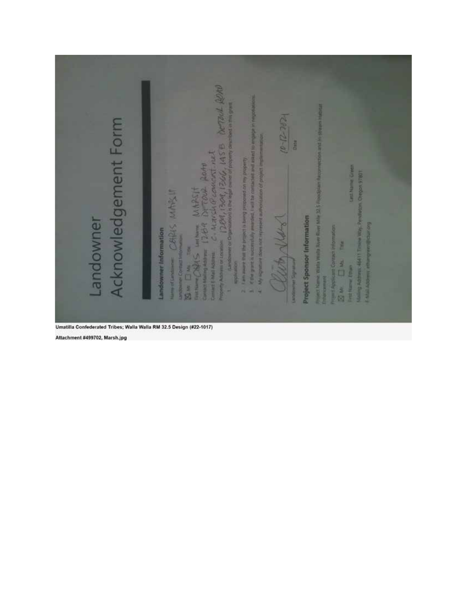|                      | bereal Reno                                                                                                                                                                                                                                                 | $44 - 7 - 61$                                                                     |                                    | <b>MONDAY AUSTRALIA DULLARS</b>                                                                                                                     |
|----------------------|-------------------------------------------------------------------------------------------------------------------------------------------------------------------------------------------------------------------------------------------------------------|-----------------------------------------------------------------------------------|------------------------------------|-----------------------------------------------------------------------------------------------------------------------------------------------------|
| Acknowledgement Form | if the grant is submissibly awarded. Fwill be contacted and seeing to angular in negotiations<br>m or taxable $[2\frac{\partial d}{\partial t}, 13\partial t]$ $[2\frac{\partial d}{\partial t}, 13\frac{\partial d}{\partial t}$ $[45\Theta]$ $[21\Theta]$ | My significant item not represent authorization of project implementation<br>Date |                                    |                                                                                                                                                     |
|                      | Bue Due The The MAPSIT<br>Turning ONES writing MAPSIT Rottle The Maria Contains C. Marshall Properties Noted<br>Line and you no benoded the highest in design of the lines are the                                                                          |                                                                                   |                                    | <b>Cast Name Grien</b><br><b>I 0945 uddain</b> in                                                                                                   |
| Landowner            | CERRIS MARSIT                                                                                                                                                                                                                                               | Carry<br>N                                                                        | <b>Project Sponsor Information</b> | Project Name: Wata Wate River River Mile 32.5 Flood<br>Mailing Address, 46411 Timpe Way, Pend<br><b>Example Proven Bullion Career</b><br><b>The</b> |
|                      | Landowner Information<br>Landowner Contact Information<br><b>Harris of Candowner</b><br><b>mpleation</b><br>n.<br>×                                                                                                                                         | list<br>націбі, анамерскі<br>u                                                    |                                    | row i Applicant Contact Information<br>E Ma<br>Fort Name Ethan<br>повращение<br>a<br>M                                                              |

Attachment #499702, Marsh.jpg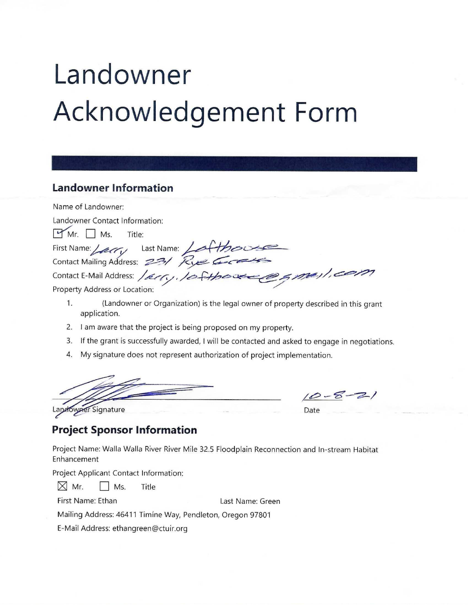# Landowner **Acknowledgement Form**

## **Landowner Information**

Name of Landowner: Landowner Contact Information:  $Mr. \Box Ms.$ Title: First Name: Leary Last Name: Lathour Contact Mailing Address: 23/ Rue G e smejl, com Contact E-Mail Address: / 21/0. Property Address or Location:

- 1. (Landowner or Organization) is the legal owner of property described in this grant application.
- 2. I am aware that the project is being proposed on my property.
- 3. If the grant is successfully awarded, I will be contacted and asked to engage in negotiations.
- 4. My signature does not represent authorization of project implementation.

Landowner Signature

 $10 - 8 - 21$ Date

## **Project Sponsor Information**

Project Name: Walla Walla River River Mile 32.5 Floodplain Reconnection and In-stream Habitat Enhancement

Project Applicant Contact Information:

| $\boxtimes$ Mr. | $\Box$ Ms. | Title |
|-----------------|------------|-------|
|                 |            |       |

First Name: Ethan

Last Name: Green

Mailing Address: 46411 Timíne Way, Pendleton, Oregon 97801

E-Mail Address: ethangreen@ctuir.org